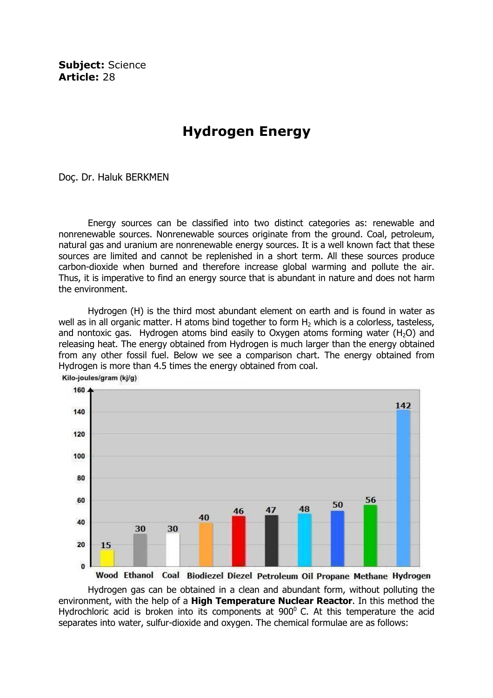Subject: Science Article: 28

# Hydrogen Energy

Doç. Dr. Haluk BERKMEN

Energy sources can be classified into two distinct categories as: renewable and nonrenewable sources. Nonrenewable sources originate from the ground. Coal, petroleum, natural gas and uranium are nonrenewable energy sources. It is a well known fact that these sources are limited and cannot be replenished in a short term. All these sources produce carbon-dioxide when burned and therefore increase global warming and pollute the air. Thus, it is imperative to find an energy source that is abundant in nature and does not harm the environment.

 Hydrogen (H) is the third most abundant element on earth and is found in water as well as in all organic matter. H atoms bind together to form  $H_2$  which is a colorless, tasteless, and nontoxic gas. Hydrogen atoms bind easily to Oxygen atoms forming water  $(H<sub>2</sub>O)$  and releasing heat. The energy obtained from Hydrogen is much larger than the energy obtained from any other fossil fuel. Below we see a comparison chart. The energy obtained from Hydrogen is more than 4.5 times the energy obtained from coal. Kilo-joules/gram (kj/g)



 Hydrogen gas can be obtained in a clean and abundant form, without polluting the environment, with the help of a High Temperature Nuclear Reactor. In this method the Hydrochloric acid is broken into its components at  $900^{\circ}$  C. At this temperature the acid separates into water, sulfur-dioxide and oxygen. The chemical formulae are as follows: